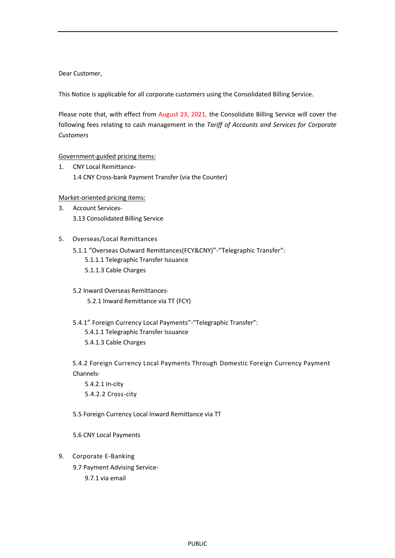Dear Customer,

This Notice is applicable for all corporate customers using the Consolidated Billing Service.

Please note that, with effect from August 23, 2021, the Consolidate Billing Service will cover the following fees relating to cash management in the *Tariff of Accounts and Services for Corporate Customers*

## Government-guided pricing items:

1. CNY Local Remittance-1.4 CNY Cross-bank Payment Transfer (via the Counter)

## Market-oriented pricing items:

- 3. Account Services-3.13 Consolidated Billing Service
- 5. Overseas/Local Remittances
	- 5.1.1 "Overseas Outward Remittances(FCY&CNY)"-"Telegraphic Transfer": 5.1.1.1 Telegraphic Transfer Issuance 5.1.1.3 Cable Charges
	- 5.2 Inward Overseas Remittances-5.2.1 Inward Remittance via TT (FCY)
	- 5.4.1" Foreign Currency Local Payments"-"Telegraphic Transfer": 5.4.1.1 Telegraphic Transfer Issuance 5.4.1.3 Cable Charges

5.4.2 Foreign Currency Local Payments Through Domestic Foreign Currency Payment Channels-

5.4.2.1 In-city 5.4.2.2 Cross-city

- 5.5 Foreign Currency Local Inward Remittance via TT
- 5.6 CNY Local Payments
- 9. Corporate E-Banking
	- 9.7 Payment Advising Service-
		- 9.7.1 via email